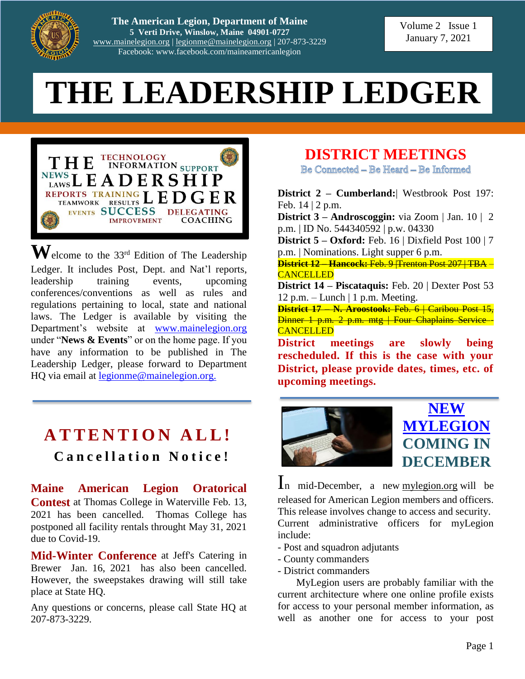

**The American Legion, Department of Maine 5 Verti Drive, Winslow, Maine 04901-0727** [www.mainelegion.org](http://www.mainelegion.org/) | [legionme@mainelegion.org](mailto:legionme@mainelegion.org) | 207-873-3229 Facebook: www.facebook.com/maineamericanlegion

Volume 2 Issue 1 January 7, 2021

# **THE LEADERSHIP LEDGER**



 $\mathbf{W}$ elcome to the 33<sup>rd</sup> Edition of The Leadership Ledger. It includes Post, Dept. and Nat'l reports, leadership training events, upcoming conferences/conventions as well as rules and regulations pertaining to local, state and national laws. The Ledger is available by visiting the Department's website at [www.mainelegion.org](http://www.mainelegion.org/) under "**News & Events**" or on the home page. If you have any information to be published in The Leadership Ledger, please forward to Department HQ via email at [legionme@mainelegion.org.](mailto:legionme@mainelegion.org)

# **A T T E N T I O N A L L ! C a n c e l l a t i o n N o t i c e !**

**Maine American Legion Oratorical Contest** at Thomas College in Waterville Feb. 13, 2021 has been cancelled. Thomas College has postponed all facility rentals throught May 31, 2021 due to Covid-19.

**Mid-Winter Conference** at Jeff's Catering in Brewer Jan. 16, 2021 has also been cancelled. However, the sweepstakes drawing will still take place at State HQ.

Any questions or concerns, please call State HQ at 207-873-3229.

# **DISTRICT MEETINGS**

Be Connected - Be Heard - Be Informed

**District 2 – Cumberland:**| Westbrook Post 197: Feb. 14 | 2 p.m.

**District 3 – Androscoggin:** via Zoom | Jan. 10 | 2 p.m. | ID No. 544340592 | p.w. 04330

**District 5 – Oxford:** Feb. 16 | Dixfield Post 100 | 7 p.m. | Nominations. Light supper 6 p.m.

**District 12 – Hancock:** Feb. 9 |Trenton Post 207 | TBA – **CANCELLED** 

**District 14 – Piscataquis:** Feb. 20 | Dexter Post 53 12 p.m. – Lunch | 1 p.m. Meeting.

**District 17 – N. Aroostook:** Feb. 6 | Caribou Post 15, Dinner 1 p.m. 2 p.m. mtg | Four Chaplains Service - **CANCELLED** 

**District meetings are slowly being rescheduled. If this is the case with your District, please provide dates, times, etc. of upcoming meetings.**





In mid-December, a new [mylegion.org](https://www.members.legion.org/CGI-BIN/lansaweb?webapp=MYLINTRO+webrtn=WR_INTRO+ml=LANSA:XHTML+part=tal+lang=ENG) will be released for American Legion members and officers. This release involves change to access and security. Current administrative officers for myLegion include:

- Post and squadron adjutants
- County commanders
- District commanders

MyLegion users are probably familiar with the current architecture where one online profile exists for access to your personal member information, as well as another one for access to your post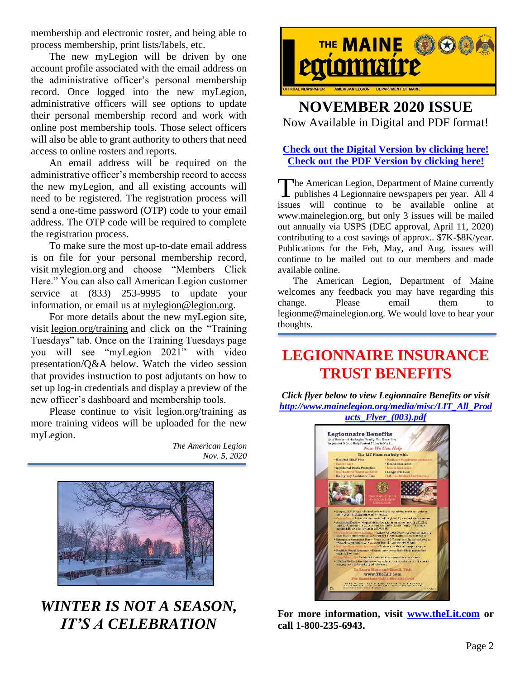membership and electronic roster, and being able to process membership, print lists/labels, etc.

The new myLegion will be driven by one account profile associated with the email address on the administrative officer's personal membership record. Once logged into the new myLegion, administrative officers will see options to update their personal membership record and work with online post membership tools. Those select officers will also be able to grant authority to others that need access to online rosters and reports.

An email address will be required on the administrative officer's membership record to access the new myLegion, and all existing accounts will need to be registered. The registration process will send a one-time password (OTP) code to your email address. The OTP code will be required to complete the registration process.

To make sure the most up-to-date email address is on file for your personal membership record, visit [mylegion.org](https://www.members.legion.org/CGI-BIN/lansaweb?webapp=MYLINTRO+webrtn=WR_INTRO+ml=LANSA:XHTML+part=tal+lang=ENG) and choose "Members Click Here." You can also call American Legion customer service at (833) 253-9995 to update your information, or email us at [mylegion@legion.org.](mailto:mylegion@legion.org)

For more details about the new myLegion site, visit [legion.org/training](https://www.legion.org/training) and click on the "Training Tuesdays" tab. Once on the Training Tuesdays page you will see "myLegion 2021" with video presentation/Q&A below. Watch the video session that provides instruction to post adjutants on how to set up log-in credentials and display a preview of the new officer's dashboard and membership tools.

Please continue to visit legion.org/training as more training videos will be uploaded for the new myLegion.

> *The American Legion Nov. 5, 2020*



## *WINTER IS NOT A SEASON, IT'S A CELEBRATION*



### **NOVEMBER 2020 ISSUE** Now Available in Digital and PDF format!

#### **[Check out the Digital Version by clicking here!](https://indd.adobe.com/view/d1b0b7e1-a7a7-4395-a152-a8504d8cb39a) [Check out the PDF Version](http://www.mainelegion.org/media/TML/TML_2020_November_Issue.pdf) by clicking here!**

The American Legion, Department of Maine currently The American Legion, Department of Maine currently<br>publishes 4 Legionnaire newspapers per year. All 4 issues will continue to be available online at www.mainelegion.org, but only 3 issues will be mailed out annually via USPS (DEC approval, April 11, 2020) contributing to a cost savings of approx.. \$7K-\$8K/year. Publications for the Feb, May, and Aug. issues will continue to be mailed out to our members and made available online.

The American Legion, Department of Maine welcomes any feedback you may have regarding this change. Please email them legionme@mainelegion.org. We would love to hear your thoughts.

# **LEGIONNAIRE INSURANCE TRUST BENEFITS**

*Click flyer below to view Legionnaire Benefits or visit [http://www.mainelegion.org/media/misc/LIT\\_All\\_Prod](http://www.mainelegion.org/media/misc/LIT_All_Products_Flyer_(003).pdf)*



**For more information, visit [www.theLit.com](http://www.thelit.com/) or call 1-800-235-6943.**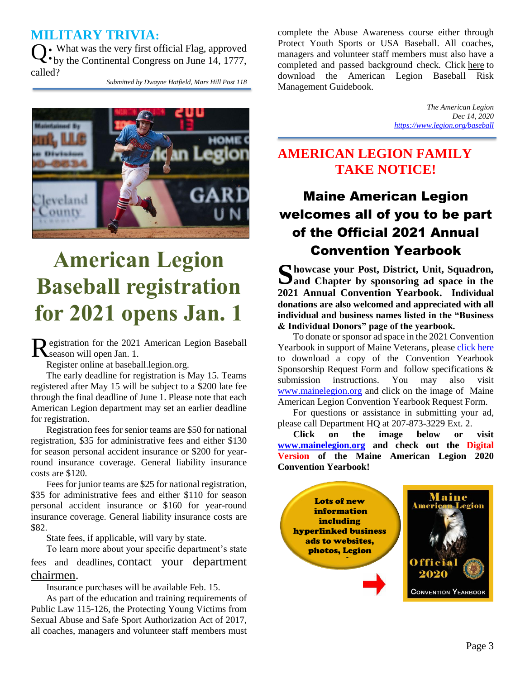### **MILITARY TRIVIA:**

 $\mathbf{Q} \cdot$  What was the very first official Flag, approved  $\cdot$  by the Continental Congress on June 14, 1777. by the Continental Congress on June 14, 1777, called?

*Submitted by Dwayne Hatfield, Mars Hill Post 118*



# **American Legion Baseball registration for 2021 opens Jan. 1**

egistration for the 2021 American Legion Baseball Registration for the 2021<br>Season will open Jan. 1.

Register online at baseball.legion.org.

The early deadline for registration is May 15. Teams registered after May 15 will be subject to a \$200 late fee through the final deadline of June 1. Please note that each American Legion department may set an earlier deadline for registration.

Registration fees for senior teams are \$50 for national registration, \$35 for administrative fees and either \$130 for season personal accident insurance or \$200 for yearround insurance coverage. General liability insurance costs are \$120.

Fees for junior teams are \$25 for national registration, \$35 for administrative fees and either \$110 for season personal accident insurance or \$160 for year-round insurance coverage. General liability insurance costs are \$82.

State fees, if applicable, will vary by state.

To learn more about your specific department's state fees and deadlines, [contact your department](https://www.legion.org/baseball/contacts)  [chairmen.](https://www.legion.org/baseball/contacts)

Insurance purchases will be available Feb. 15.

As part of the education and training requirements of Public Law 115-126, the Protecting Young Victims from Sexual Abuse and Safe Sport Authorization Act of 2017, all coaches, managers and volunteer staff members must complete the Abuse Awareness course either through Protect Youth Sports or USA Baseball. All coaches, managers and volunteer staff members must also have a completed and passed background check. Click [here](https://www.legion.org/publications/212564/risk-management-policies-baseball) to download the American Legion Baseball Risk Management Guidebook.

> *The American Legion Dec 14, 2020 <https://www.legion.org/baseball>*

## **AMERICAN LEGION FAMILY TAKE NOTICE!**

# Maine American Legion welcomes all of you to be part of the Official 2021 Annual Convention Yearbook

**howcase your Post, District, Unit, Squadron,**  Showcase your Post, District, Unit, Squadron, Sand Chapter by sponsoring ad space in the **2021 Annual Convention Yearbook. Individual donations are also welcomed and appreciated with all individual and business names listed in the "Business & Individual Donors" page of the yearbook.** 

To donate or sponsor ad space in the 2021 Convention Yearbook in support of Maine Veterans, please [click here](http://www.mainelegion.org/media/YEARBOOK/Maine_AL_Convention_Yearbook_Sponsorship_Req._Form11_FILLABLE.pdf) to download a copy of the Convention Yearbook Sponsorship Request Form and follow specifications & submission instructions. You may also visit [www.mainelegion.org](http://www.mainelegion.org/) and click on the image of Maine American Legion Convention Yearbook Request Form.

For questions or assistance in submitting your ad, please call Department HQ at 207-873-3229 Ext. 2.

**Click on the image below or visit [www.mainelegion.org](http://www.mainelegion.org/) and check out the Digital Version of the Maine American Legion 2020 Convention Yearbook!**

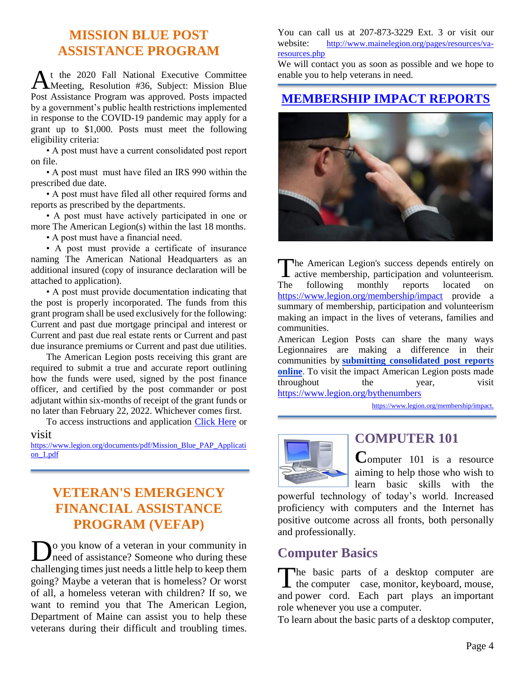## **MISSION BLUE POST ASSISTANCE PROGRAM**

t the 2020 Fall National Executive Committee At the 2020 Fall National Executive Committee<br>Meeting, Resolution #36, Subject: Mission Blue Post Assistance Program was approved. Posts impacted by a government's public health restrictions implemented in response to the COVID-19 pandemic may apply for a grant up to \$1,000. Posts must meet the following eligibility criteria:

• A post must have a current consolidated post report on file.

• A post must must have filed an IRS 990 within the prescribed due date.

• A post must have filed all other required forms and reports as prescribed by the departments.

• A post must have actively participated in one or more The American Legion(s) within the last 18 months.

• A post must have a financial need.

• A post must provide a certificate of insurance naming The American National Headquarters as an additional insured (copy of insurance declaration will be attached to application).

• A post must provide documentation indicating that the post is properly incorporated. The funds from this grant program shall be used exclusively for the following: Current and past due mortgage principal and interest or Current and past due real estate rents or Current and past due insurance premiums or Current and past due utilities.

The American Legion posts receiving this grant are required to submit a true and accurate report outlining how the funds were used, signed by the post finance officer, and certified by the post commander or post adjutant within six-months of receipt of the grant funds or no later than February 22, 2022. Whichever comes first.

To access instructions and application [Click Here](https://www.legion.org/documents/pdf/Mission_Blue_PAP_Application_1.pdf) or

#### visit

[https://www.legion.org/documents/pdf/Mission\\_Blue\\_PAP\\_Applicati](https://www.legion.org/documents/pdf/Mission_Blue_PAP_Application_1.pdf) [on\\_1.pdf](https://www.legion.org/documents/pdf/Mission_Blue_PAP_Application_1.pdf)

## **VETERAN'S EMERGENCY FINANCIAL ASSISTANCE PROGRAM (VEFAP)**

o you know of a veteran in your community in **D**<sup>o</sup> you know of a veteran in your community in need of assistance? Someone who during these challenging times just needs a little help to keep them going? Maybe a veteran that is homeless? Or worst of all, a homeless veteran with children? If so, we want to remind you that The American Legion, Department of Maine can assist you to help these veterans during their difficult and troubling times.

You can call us at 207-873-3229 Ext. 3 or visit our website: http://www.mainelegion.org/pages/resources/varesources.php

We will contact you as soon as possible and we hope to enable you to help veterans in need.

#### **[MEMBERSHIP IMPACT REPORTS](https://www.legion.org/membership/impact)**



he American Legion's success depends entirely on The American Legion's success depends entirely on active membership, participation and volunteerism. The following monthly reports located on <https://www.legion.org/membership/impact> provide a summary of membership, participation and volunteerism making an impact in the lives of veterans, families and communities.

American Legion Posts can share the many ways Legionnaires are making a difference in their communities by **[submitting consolidated post reports](http://www.mylegion.org/)  [online](http://www.mylegion.org/)**. To visit the impact American Legion posts made throughout the year, visit <https://www.legion.org/bythenumbers>

[https://www.legion.org/membership/impact.](https://www.legion.org/membership/impact)



#### **COMPUTER 101**

**C**omputer 101 is a resource aiming to help those who wish to learn basic skills with the

powerful technology of today's world. Increased proficiency with computers and the Internet has positive outcome across all fronts, both personally and professionally.

## **Computer Basics**

The basic parts of a desktop computer are The basic parts of a desktop computer are<br>the computer case, monitor, keyboard, mouse, and power cord. Each part plays an important role whenever you use a computer.

To learn about the basic parts of a desktop computer,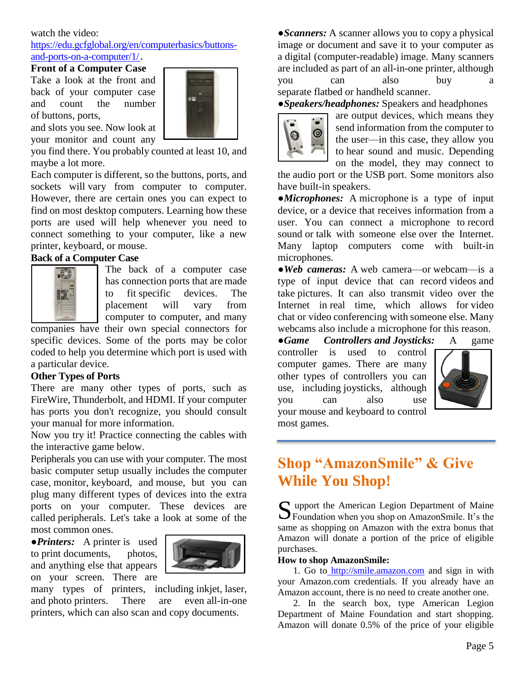#### watch the video:

[https://edu.gcfglobal.org/en/computerbasics/buttons](https://edu.gcfglobal.org/en/computerbasics/buttons-and-ports-on-a-computer/1/)[and-ports-on-a-computer/1/](https://edu.gcfglobal.org/en/computerbasics/buttons-and-ports-on-a-computer/1/)**.**

#### **Front of a Computer Case**

Take a look at the front and back of your computer case and count the number of buttons, ports,

and slots you see. Now look at your monitor and count any

you find there. You probably counted at least 10, and maybe a lot more.

Each computer is different, so the buttons, ports, and sockets will vary from computer to computer. However, there are certain ones you can expect to find on most desktop computers. Learning how these ports are used will help whenever you need to connect something to your computer, like a new printer, keyboard, or mouse.

#### **Back of a Computer Case**



The back of a computer case has connection ports that are made to fit specific devices. The placement will vary from computer to computer, and many

companies have their own special connectors for specific devices. Some of the ports may be color coded to help you determine which port is used with a particular device.

#### **Other Types of Ports**

There are many other types of ports, such as FireWire, Thunderbolt, and HDMI. If your computer has ports you don't recognize, you should consult your manual for more information.

Now you try it! Practice connecting the cables with the interactive game below.

Peripherals you can use with your computer. The most basic computer setup usually includes the computer case, monitor, keyboard, and mouse, but you can plug many different types of devices into the extra ports on your computer. These devices are called peripherals. Let's take a look at some of the most common ones.

*●Printers:* A printer is used to print documents, photos, and anything else that appears on your screen. There are



many types of printers, including inkjet, laser, and photo printers. There are even all-in-one printers, which can also scan and copy documents.

*●Scanners:* A scanner allows you to copy a physical image or document and save it to your computer as a digital (computer-readable) image. Many scanners are included as part of an all-in-one printer, although you can also buy a separate flatbed or handheld scanner.

*●Speakers/headphones:* Speakers and headphones



are output devices, which means they send information from the computer to the user—in this case, they allow you to hear sound and music. Depending on the model, they may connect to

the audio port or the USB port. Some monitors also have built-in speakers.

*●Microphones:* A microphone is a type of input device, or a device that receives information from a user. You can connect a microphone to record sound or talk with someone else over the Internet. Many laptop computers come with built-in microphones.

*●Web cameras:* A web camera—or webcam—is a type of input device that can record videos and take pictures. It can also transmit video over the Internet in real time, which allows for video chat or video conferencing with someone else. Many webcams also include a microphone for this reason.

*●Game Controllers and Joysticks:* A game controller is used to control computer games. There are many other types of controllers you can use, including joysticks, although you can also use your mouse and keyboard to control most games.



## **Shop "AmazonSmile" & Give While You Shop!**

upport the American Legion Department of Maine S upport the American Legion Department of Maine<br>Foundation when you shop on AmazonSmile. It's the same as shopping on Amazon with the extra bonus that Amazon will donate a portion of the price of eligible purchases.

#### **How to shop AmazonSmile:**

1. Go to [http://smile.amazon.com](http://smile.amazon.com/) and sign in with your Amazon.com credentials. If you already have an Amazon account, there is no need to create another one.

2. In the search box, type American Legion Department of Maine Foundation and start shopping. Amazon will donate 0.5% of the price of your eligible